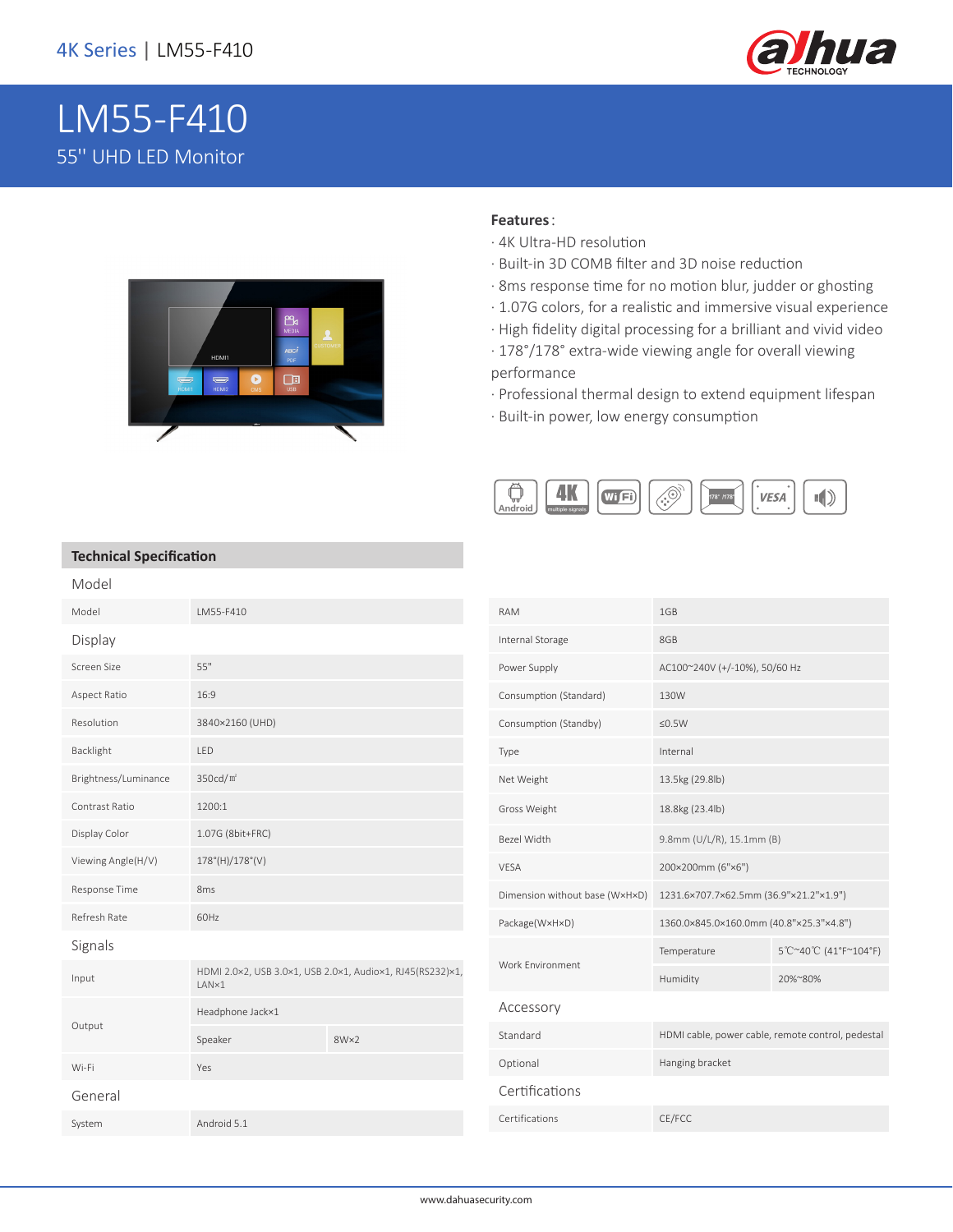

# LM55-F410 55'' UHD LED Monitor



#### **Features**:

- · 4K Ultra-HD resolution
- · Built-in 3D COMB filter and 3D noise reduction
- · 8ms response time for no motion blur, judder or ghosting
- · 1.07G colors, for a realistic and immersive visual experience
- · High fidelity digital processing for a brilliant and vivid video
- · 178°/178° extra-wide viewing angle for overall viewing performance
- · Professional thermal design to extend equipment lifespan
- · Built-in power, low energy consumption



#### **Technical Specification**

| Model                |                                                                    |      |  |
|----------------------|--------------------------------------------------------------------|------|--|
| Model                | LM55-F410                                                          |      |  |
| Display              |                                                                    |      |  |
| Screen Size          | 55"                                                                |      |  |
| Aspect Ratio         | 16:9                                                               |      |  |
| Resolution           | 3840×2160 (UHD)                                                    |      |  |
| Backlight            | LED                                                                |      |  |
| Brightness/Luminance | 350cd/m <sup>2</sup>                                               |      |  |
| Contrast Ratio       | 1200:1                                                             |      |  |
| Display Color        | 1.07G (8bit+FRC)                                                   |      |  |
| Viewing Angle(H/V)   | 178°(H)/178°(V)                                                    |      |  |
| Response Time        | 8 <sub>ms</sub>                                                    |      |  |
| Refresh Rate         | 60Hz                                                               |      |  |
| Signals              |                                                                    |      |  |
| Input                | HDMI 2.0×2, USB 3.0×1, USB 2.0×1, Audio×1, RJ45(RS232)×1,<br>LAN×1 |      |  |
| Output               | Headphone Jack×1                                                   |      |  |
|                      | Speaker                                                            | 8W×2 |  |
| Wi-Fi                | Yes                                                                |      |  |
| General              |                                                                    |      |  |
| System               | Android 5.1                                                        |      |  |

| <b>RAM</b>                     | 1GB                                               |                       |  |  |
|--------------------------------|---------------------------------------------------|-----------------------|--|--|
| Internal Storage               | 8GB                                               |                       |  |  |
| Power Supply                   | AC100~240V (+/-10%), 50/60 Hz                     |                       |  |  |
| Consumption (Standard)         | 130W                                              |                       |  |  |
| Consumption (Standby)          | $≤0.5W$                                           |                       |  |  |
| Type                           | Internal                                          |                       |  |  |
| Net Weight                     | 13.5kg (29.8lb)                                   |                       |  |  |
| Gross Weight                   | 18.8kg (23.4lb)                                   |                       |  |  |
| <b>Bezel Width</b>             | 9.8mm (U/L/R), 15.1mm (B)                         |                       |  |  |
| <b>VESA</b>                    | 200×200mm (6"×6")                                 |                       |  |  |
| Dimension without base (WxHxD) | 1231.6×707.7×62.5mm (36.9"×21.2"×1.9")            |                       |  |  |
| Package(WxHxD)                 | 1360.0×845.0×160.0mm (40.8"×25.3"×4.8")           |                       |  |  |
| Work Environment               | Temperature                                       | 5°C~40°C (41°F~104°F) |  |  |
|                                | Humidity                                          | 20%~80%               |  |  |
| Accessory                      |                                                   |                       |  |  |
| Standard                       | HDMI cable, power cable, remote control, pedestal |                       |  |  |
| Optional                       | Hanging bracket                                   |                       |  |  |
| Certifications                 |                                                   |                       |  |  |
| Certifications                 | CE/FCC                                            |                       |  |  |